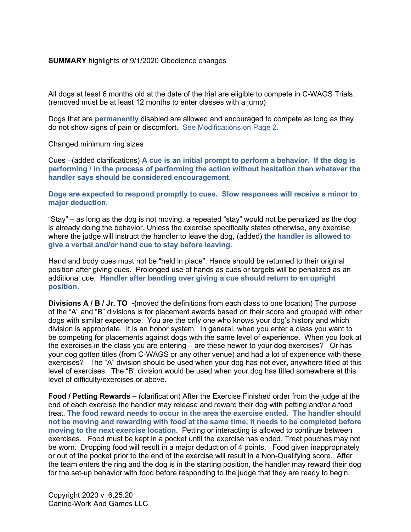## **SUMMARY** highlights of 9/1/2020 Obedience changes

All dogs at least 6 months old at the date of the trial are eligible to compete in C-WAGS Trials. (removed must be at least 12 months to enter classes with a jump)

Dogs that are **permanently** disabled are allowed and encouraged to compete as long as they do not show signs of pain or discomfort. See Modifications on Page 2.

Changed minimum ring sizes

Cues –(added clarifications) **A cue is an initial prompt to perform a behavior. If the dog is performing / in the process of performing the action without hesitation then whatever the handler says should be considered encouragement**.

**Dogs are expected to respond promptly to cues. Slow responses will receive a minor to major deduction**.

"Stay" – as long as the dog is not moving, a repeated "stay" would not be penalized as the dog is already doing the behavior. Unless the exercise specifically states otherwise, any exercise where the judge will instruct the handler to leave the dog, (added) **the handler is allowed to give a verbal and/or hand cue to stay before leaving.**

Hand and body cues must not be "held in place". Hands should be returned to their original position after giving cues. Prolonged use of hands as cues or targets will be penalized as an additional cue. **Handler after bending over giving a cue should return to an upright position.** 

**Divisions A / B / Jr. TO -(**moved the definitions from each class to one location) The purpose of the "A" and "B" divisions is for placement awards based on their score and grouped with other dogs with similar experience. You are the only one who knows your dog's history and which division is appropriate. It is an honor system. In general, when you enter a class you want to be competing for placements against dogs with the same level of experience. When you look at the exercises in the class you are entering – are these newer to your dog exercises? Or has your dog gotten titles (from C-WAGS or any other venue) and had a lot of experience with these exercises? The "A" division should be used when your dog has not ever, anywhere titled at this level of exercises. The "B" division would be used when your dog has titled somewhere at this level of difficulty/exercises or above.

**Food / Petting Rewards –** (clarification) After the Exercise Finished order from the judge at the end of each exercise the handler may release and reward their dog with petting and/or a food treat. **The food reward needs to occur in the area the exercise ended. The handler should not be moving and rewarding with food at the same time, it needs to be completed before moving to the next exercise location.** Petting or interacting is allowed to continue between exercises. Food must be kept in a pocket until the exercise has ended. Treat pouches may not be worn. Dropping food will result in a major deduction of 4 points. Food given inappropriately or out of the pocket prior to the end of the exercise will result in a Non-Qualifying score. After the team enters the ring and the dog is in the starting position, the handler may reward their dog for the set-up behavior with food before responding to the judge that they are ready to begin.

Copyright 2020 v 6.25.20 Canine-Work And Games LLC